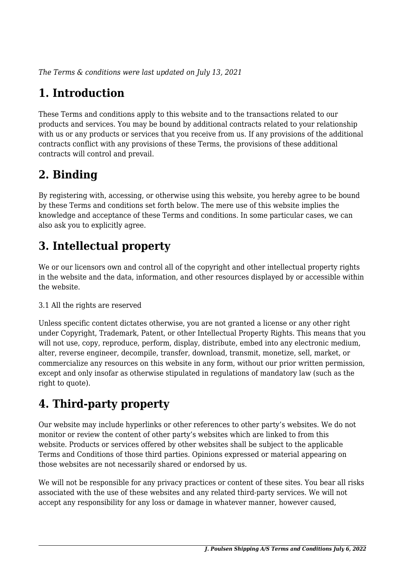*The Terms & conditions were last updated on July 13, 2021*

# **1. Introduction**

These Terms and conditions apply to this website and to the transactions related to our products and services. You may be bound by additional contracts related to your relationship with us or any products or services that you receive from us. If any provisions of the additional contracts conflict with any provisions of these Terms, the provisions of these additional contracts will control and prevail.

# **2. Binding**

By registering with, accessing, or otherwise using this website, you hereby agree to be bound by these Terms and conditions set forth below. The mere use of this website implies the knowledge and acceptance of these Terms and conditions. In some particular cases, we can also ask you to explicitly agree.

# **3. Intellectual property**

We or our licensors own and control all of the copyright and other intellectual property rights in the website and the data, information, and other resources displayed by or accessible within the website.

#### 3.1 All the rights are reserved

Unless specific content dictates otherwise, you are not granted a license or any other right under Copyright, Trademark, Patent, or other Intellectual Property Rights. This means that you will not use, copy, reproduce, perform, display, distribute, embed into any electronic medium, alter, reverse engineer, decompile, transfer, download, transmit, monetize, sell, market, or commercialize any resources on this website in any form, without our prior written permission, except and only insofar as otherwise stipulated in regulations of mandatory law (such as the right to quote).

# **4. Third-party property**

Our website may include hyperlinks or other references to other party's websites. We do not monitor or review the content of other party's websites which are linked to from this website. Products or services offered by other websites shall be subject to the applicable Terms and Conditions of those third parties. Opinions expressed or material appearing on those websites are not necessarily shared or endorsed by us.

We will not be responsible for any privacy practices or content of these sites. You bear all risks associated with the use of these websites and any related third-party services. We will not accept any responsibility for any loss or damage in whatever manner, however caused,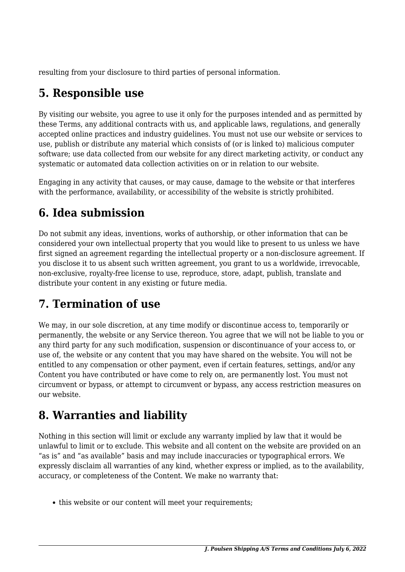resulting from your disclosure to third parties of personal information.

## **5. Responsible use**

By visiting our website, you agree to use it only for the purposes intended and as permitted by these Terms, any additional contracts with us, and applicable laws, regulations, and generally accepted online practices and industry guidelines. You must not use our website or services to use, publish or distribute any material which consists of (or is linked to) malicious computer software; use data collected from our website for any direct marketing activity, or conduct any systematic or automated data collection activities on or in relation to our website.

Engaging in any activity that causes, or may cause, damage to the website or that interferes with the performance, availability, or accessibility of the website is strictly prohibited.

## **6. Idea submission**

Do not submit any ideas, inventions, works of authorship, or other information that can be considered your own intellectual property that you would like to present to us unless we have first signed an agreement regarding the intellectual property or a non-disclosure agreement. If you disclose it to us absent such written agreement, you grant to us a worldwide, irrevocable, non-exclusive, royalty-free license to use, reproduce, store, adapt, publish, translate and distribute your content in any existing or future media.

## **7. Termination of use**

We may, in our sole discretion, at any time modify or discontinue access to, temporarily or permanently, the website or any Service thereon. You agree that we will not be liable to you or any third party for any such modification, suspension or discontinuance of your access to, or use of, the website or any content that you may have shared on the website. You will not be entitled to any compensation or other payment, even if certain features, settings, and/or any Content you have contributed or have come to rely on, are permanently lost. You must not circumvent or bypass, or attempt to circumvent or bypass, any access restriction measures on our website.

## **8. Warranties and liability**

Nothing in this section will limit or exclude any warranty implied by law that it would be unlawful to limit or to exclude. This website and all content on the website are provided on an "as is" and "as available" basis and may include inaccuracies or typographical errors. We expressly disclaim all warranties of any kind, whether express or implied, as to the availability, accuracy, or completeness of the Content. We make no warranty that:

• this website or our content will meet your requirements;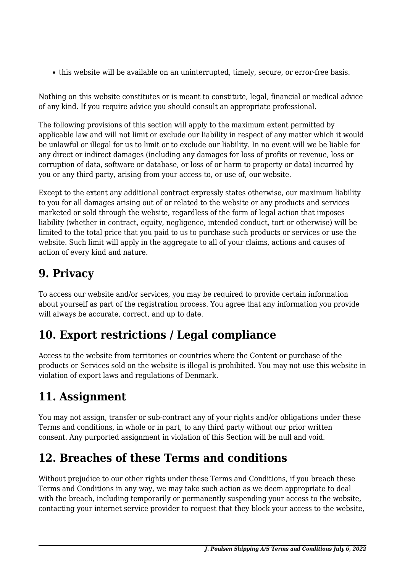this website will be available on an uninterrupted, timely, secure, or error-free basis.

Nothing on this website constitutes or is meant to constitute, legal, financial or medical advice of any kind. If you require advice you should consult an appropriate professional.

The following provisions of this section will apply to the maximum extent permitted by applicable law and will not limit or exclude our liability in respect of any matter which it would be unlawful or illegal for us to limit or to exclude our liability. In no event will we be liable for any direct or indirect damages (including any damages for loss of profits or revenue, loss or corruption of data, software or database, or loss of or harm to property or data) incurred by you or any third party, arising from your access to, or use of, our website.

Except to the extent any additional contract expressly states otherwise, our maximum liability to you for all damages arising out of or related to the website or any products and services marketed or sold through the website, regardless of the form of legal action that imposes liability (whether in contract, equity, negligence, intended conduct, tort or otherwise) will be limited to the total price that you paid to us to purchase such products or services or use the website. Such limit will apply in the aggregate to all of your claims, actions and causes of action of every kind and nature.

# **9. Privacy**

To access our website and/or services, you may be required to provide certain information about yourself as part of the registration process. You agree that any information you provide will always be accurate, correct, and up to date.

## **10. Export restrictions / Legal compliance**

Access to the website from territories or countries where the Content or purchase of the products or Services sold on the website is illegal is prohibited. You may not use this website in violation of export laws and regulations of Denmark.

# **11. Assignment**

You may not assign, transfer or sub-contract any of your rights and/or obligations under these Terms and conditions, in whole or in part, to any third party without our prior written consent. Any purported assignment in violation of this Section will be null and void.

#### **12. Breaches of these Terms and conditions**

Without prejudice to our other rights under these Terms and Conditions, if you breach these Terms and Conditions in any way, we may take such action as we deem appropriate to deal with the breach, including temporarily or permanently suspending your access to the website, contacting your internet service provider to request that they block your access to the website,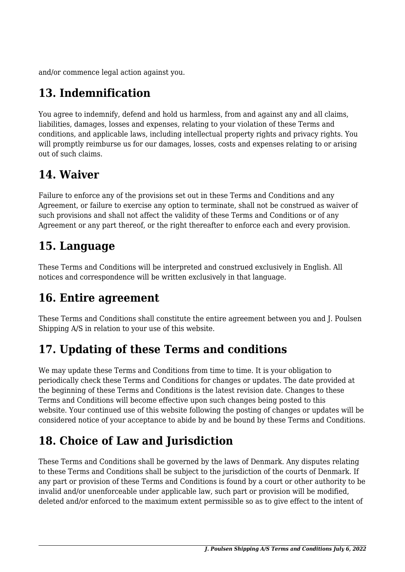and/or commence legal action against you.

# **13. Indemnification**

You agree to indemnify, defend and hold us harmless, from and against any and all claims, liabilities, damages, losses and expenses, relating to your violation of these Terms and conditions, and applicable laws, including intellectual property rights and privacy rights. You will promptly reimburse us for our damages, losses, costs and expenses relating to or arising out of such claims.

#### **14. Waiver**

Failure to enforce any of the provisions set out in these Terms and Conditions and any Agreement, or failure to exercise any option to terminate, shall not be construed as waiver of such provisions and shall not affect the validity of these Terms and Conditions or of any Agreement or any part thereof, or the right thereafter to enforce each and every provision.

## **15. Language**

These Terms and Conditions will be interpreted and construed exclusively in English. All notices and correspondence will be written exclusively in that language.

#### **16. Entire agreement**

These Terms and Conditions shall constitute the entire agreement between you and J. Poulsen Shipping A/S in relation to your use of this website.

# **17. Updating of these Terms and conditions**

We may update these Terms and Conditions from time to time. It is your obligation to periodically check these Terms and Conditions for changes or updates. The date provided at the beginning of these Terms and Conditions is the latest revision date. Changes to these Terms and Conditions will become effective upon such changes being posted to this website. Your continued use of this website following the posting of changes or updates will be considered notice of your acceptance to abide by and be bound by these Terms and Conditions.

# **18. Choice of Law and Jurisdiction**

These Terms and Conditions shall be governed by the laws of Denmark. Any disputes relating to these Terms and Conditions shall be subject to the jurisdiction of the courts of Denmark. If any part or provision of these Terms and Conditions is found by a court or other authority to be invalid and/or unenforceable under applicable law, such part or provision will be modified, deleted and/or enforced to the maximum extent permissible so as to give effect to the intent of